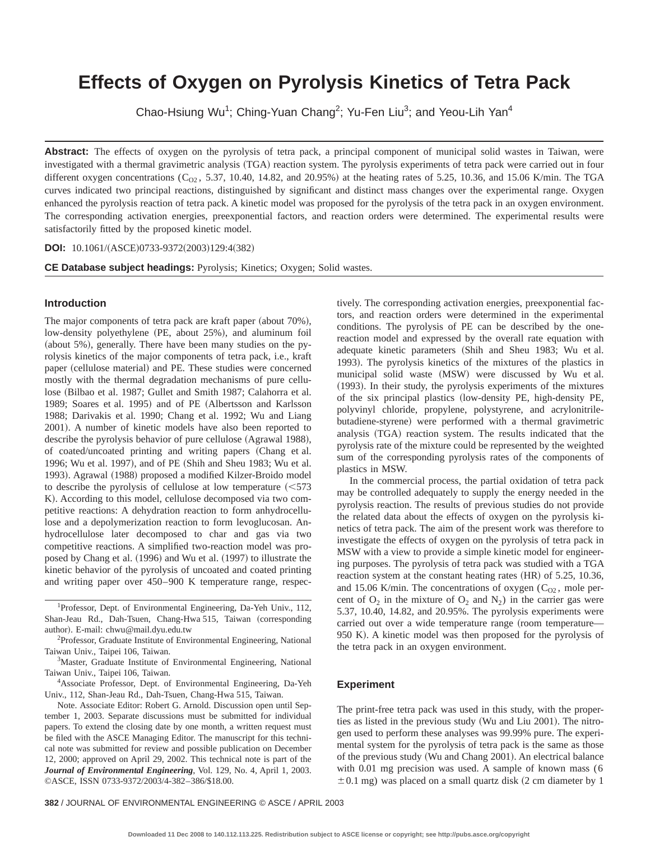# **Effects of Oxygen on Pyrolysis Kinetics of Tetra Pack**

Chao-Hsiung Wu<sup>1</sup>; Ching-Yuan Chang<sup>2</sup>; Yu-Fen Liu<sup>3</sup>; and Yeou-Lih Yan<sup>4</sup>

Abstract: The effects of oxygen on the pyrolysis of tetra pack, a principal component of municipal solid wastes in Taiwan, were investigated with a thermal gravimetric analysis (TGA) reaction system. The pyrolysis experiments of tetra pack were carried out in four different oxygen concentrations  $(C_{02}$ , 5.37, 10.40, 14.82, and 20.95%) at the heating rates of 5.25, 10.36, and 15.06 K/min. The TGA curves indicated two principal reactions, distinguished by significant and distinct mass changes over the experimental range. Oxygen enhanced the pyrolysis reaction of tetra pack. A kinetic model was proposed for the pyrolysis of the tetra pack in an oxygen environment. The corresponding activation energies, preexponential factors, and reaction orders were determined. The experimental results were satisfactorily fitted by the proposed kinetic model.

**DOI:** 10.1061/(ASCE)0733-9372(2003)129:4(382)

**CE Database subject headings:** Pyrolysis; Kinetics; Oxygen; Solid wastes.

## **Introduction**

The major components of tetra pack are kraft paper (about 70%), low-density polyethylene (PE, about 25%), and aluminum foil (about 5%), generally. There have been many studies on the pyrolysis kinetics of the major components of tetra pack, i.e., kraft paper (cellulose material) and PE. These studies were concerned mostly with the thermal degradation mechanisms of pure cellulose (Bilbao et al. 1987; Gullet and Smith 1987; Calahorra et al. 1989; Soares et al. 1995) and of PE (Albertsson and Karlsson 1988; Darivakis et al. 1990; Chang et al. 1992; Wu and Liang 2001). A number of kinetic models have also been reported to describe the pyrolysis behavior of pure cellulose (Agrawal 1988), of coated/uncoated printing and writing papers (Chang et al. 1996; Wu et al. 1997), and of PE (Shih and Sheu 1983; Wu et al. 1993). Agrawal (1988) proposed a modified Kilzer-Broido model to describe the pyrolysis of cellulose at low temperature  $\approx$  573 K). According to this model, cellulose decomposed via two competitive reactions: A dehydration reaction to form anhydrocellulose and a depolymerization reaction to form levoglucosan. Anhydrocellulose later decomposed to char and gas via two competitive reactions. A simplified two-reaction model was proposed by Chang et al.  $(1996)$  and Wu et al.  $(1997)$  to illustrate the kinetic behavior of the pyrolysis of uncoated and coated printing and writing paper over 450–900 K temperature range, respec-

<sup>1</sup>Professor, Dept. of Environmental Engineering, Da-Yeh Univ., 112, Shan-Jeau Rd., Dah-Tsuen, Chang-Hwa 515, Taiwan (corresponding author). E-mail: chwu@mail.dyu.edu.tw

<sup>2</sup>Professor, Graduate Institute of Environmental Engineering, National Taiwan Univ., Taipei 106, Taiwan.

<sup>3</sup>Master, Graduate Institute of Environmental Engineering, National Taiwan Univ., Taipei 106, Taiwan.

4 Associate Professor, Dept. of Environmental Engineering, Da-Yeh Univ., 112, Shan-Jeau Rd., Dah-Tsuen, Chang-Hwa 515, Taiwan.

Note. Associate Editor: Robert G. Arnold. Discussion open until September 1, 2003. Separate discussions must be submitted for individual papers. To extend the closing date by one month, a written request must be filed with the ASCE Managing Editor. The manuscript for this technical note was submitted for review and possible publication on December 12, 2000; approved on April 29, 2002. This technical note is part of the *Journal of Environmental Engineering*, Vol. 129, No. 4, April 1, 2003. ©ASCE, ISSN 0733-9372/2003/4-382–386/\$18.00.

tively. The corresponding activation energies, preexponential factors, and reaction orders were determined in the experimental conditions. The pyrolysis of PE can be described by the onereaction model and expressed by the overall rate equation with adequate kinetic parameters (Shih and Sheu 1983; Wu et al. 1993). The pyrolysis kinetics of the mixtures of the plastics in municipal solid waste (MSW) were discussed by Wu et al. (1993). In their study, the pyrolysis experiments of the mixtures of the six principal plastics (low-density PE, high-density PE, polyvinyl chloride, propylene, polystyrene, and acrylonitrilebutadiene-styrene) were performed with a thermal gravimetric analysis (TGA) reaction system. The results indicated that the pyrolysis rate of the mixture could be represented by the weighted sum of the corresponding pyrolysis rates of the components of plastics in MSW.

In the commercial process, the partial oxidation of tetra pack may be controlled adequately to supply the energy needed in the pyrolysis reaction. The results of previous studies do not provide the related data about the effects of oxygen on the pyrolysis kinetics of tetra pack. The aim of the present work was therefore to investigate the effects of oxygen on the pyrolysis of tetra pack in MSW with a view to provide a simple kinetic model for engineering purposes. The pyrolysis of tetra pack was studied with a TGA reaction system at the constant heating rates (HR) of 5.25, 10.36, and 15.06 K/min. The concentrations of oxygen  $(C_{O2})$ , mole percent of  $O_2$  in the mixture of  $O_2$  and  $N_2$ ) in the carrier gas were 5.37, 10.40, 14.82, and 20.95%. The pyrolysis experiments were carried out over a wide temperature range (room temperature— 950 K). A kinetic model was then proposed for the pyrolysis of the tetra pack in an oxygen environment.

#### **Experiment**

The print-free tetra pack was used in this study, with the properties as listed in the previous study (Wu and Liu 2001). The nitrogen used to perform these analyses was 99.99% pure. The experimental system for the pyrolysis of tetra pack is the same as those of the previous study (Wu and Chang 2001). An electrical balance with 0.01 mg precision was used. A sample of known mass (6  $\pm$  0.1 mg) was placed on a small quartz disk (2 cm diameter by 1

**382** / JOURNAL OF ENVIRONMENTAL ENGINEERING © ASCE / APRIL 2003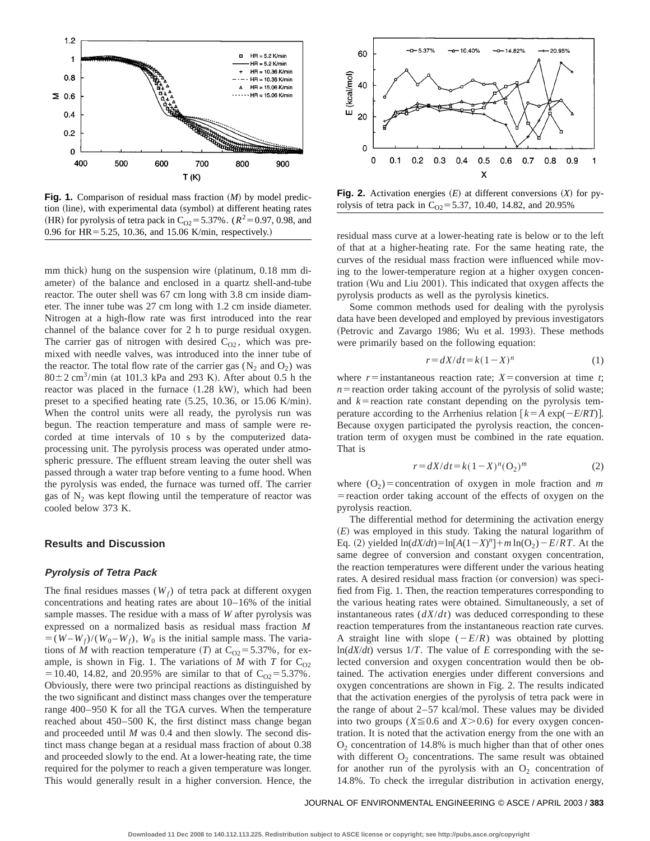

**Fig. 1.** Comparison of residual mass fraction  $(M)$  by model prediction (line), with experimental data (symbol) at different heating rates (HR) for pyrolysis of tetra pack in C<sub>O2</sub>=5.37%. ( $R^2$ =0.97, 0.98, and 0.96 for  $HR = 5.25$ , 10.36, and 15.06 K/min, respectively.)

mm thick) hung on the suspension wire (platinum,  $0.18$  mm diameter) of the balance and enclosed in a quartz shell-and-tube reactor. The outer shell was 67 cm long with 3.8 cm inside diameter. The inner tube was 27 cm long with 1.2 cm inside diameter. Nitrogen at a high-flow rate was first introduced into the rear channel of the balance cover for 2 h to purge residual oxygen. The carrier gas of nitrogen with desired  $C_{O2}$ , which was premixed with needle valves, was introduced into the inner tube of the reactor. The total flow rate of the carrier gas  $(N_2 \text{ and } O_2)$  was  $80 \pm 2$  cm<sup>3</sup>/min (at 101.3 kPa and 293 K). After about 0.5 h the reactor was placed in the furnace  $(1.28 \text{ kW})$ , which had been preset to a specified heating rate  $(5.25, 10.36,$  or 15.06 K/min). When the control units were all ready, the pyrolysis run was begun. The reaction temperature and mass of sample were recorded at time intervals of 10 s by the computerized dataprocessing unit. The pyrolysis process was operated under atmospheric pressure. The effluent stream leaving the outer shell was passed through a water trap before venting to a fume hood. When the pyrolysis was ended, the furnace was turned off. The carrier gas of  $N_2$  was kept flowing until the temperature of reactor was cooled below 373 K.

# **Results and Discussion**

#### **Pyrolysis of Tetra Pack**

The final residues masses  $(W_f)$  of tetra pack at different oxygen concentrations and heating rates are about 10–16% of the initial sample masses. The residue with a mass of *W* after pyrolysis was expressed on a normalized basis as residual mass fraction *M*  $=(W-W_f)/(W_0-W_f)$ ,  $W_0$  is the initial sample mass. The variations of *M* with reaction temperature (*T*) at  $C_{02} = 5.37\%$ , for example, is shown in Fig. 1. The variations of  $M$  with  $T$  for  $C_{O2}$ = 10.40, 14.82, and 20.95% are similar to that of  $C_{O2}$  = 5.37%. Obviously, there were two principal reactions as distinguished by the two significant and distinct mass changes over the temperature range 400–950 K for all the TGA curves. When the temperature reached about 450–500 K, the first distinct mass change began and proceeded until *M* was 0.4 and then slowly. The second distinct mass change began at a residual mass fraction of about 0.38 and proceeded slowly to the end. At a lower-heating rate, the time required for the polymer to reach a given temperature was longer. This would generally result in a higher conversion. Hence, the



**Fig. 2.** Activation energies  $(E)$  at different conversions  $(X)$  for pyrolysis of tetra pack in  $C_{O2} = 5.37$ , 10.40, 14.82, and 20.95%

residual mass curve at a lower-heating rate is below or to the left of that at a higher-heating rate. For the same heating rate, the curves of the residual mass fraction were influenced while moving to the lower-temperature region at a higher oxygen concentration (Wu and Liu 2001). This indicated that oxygen affects the pyrolysis products as well as the pyrolysis kinetics.

Some common methods used for dealing with the pyrolysis data have been developed and employed by previous investigators (Petrovic and Zavargo 1986; Wu et al. 1993). These methods were primarily based on the following equation:

$$
r = dX/dt = k(1 - X)^n \tag{1}
$$

where  $r =$  instantaneous reaction rate;  $X =$  conversion at time *t*;  $n$ = reaction order taking account of the pyrolysis of solid waste; and  $k$ = reaction rate constant depending on the pyrolysis temperature according to the Arrhenius relation  $\lceil k = A \exp(-E/RT) \rceil$ . Because oxygen participated the pyrolysis reaction, the concentration term of oxygen must be combined in the rate equation. That is

$$
r = dX/dt = k(1 - X)^{n} (O_2)^{m}
$$
 (2)

where  $(O_2)$ =concentration of oxygen in mole fraction and *m* = reaction order taking account of the effects of oxygen on the pyrolysis reaction.

The differential method for determining the activation energy  $(E)$  was employed in this study. Taking the natural logarithm of Eq. (2) yielded  $\ln(dX/dt) = \ln[A(1-X)^n] + m \ln(O_2) - E/RT$ . At the same degree of conversion and constant oxygen concentration, the reaction temperatures were different under the various heating rates. A desired residual mass fraction (or conversion) was specified from Fig. 1. Then, the reaction temperatures corresponding to the various heating rates were obtained. Simultaneously, a set of instantaneous rates (*dX*/*dt*) was deduced corresponding to these reaction temperatures from the instantaneous reaction rate curves. A straight line with slope  $(-E/R)$  was obtained by plotting  $ln(dX/dt)$  versus  $1/T$ . The value of *E* corresponding with the selected conversion and oxygen concentration would then be obtained. The activation energies under different conversions and oxygen concentrations are shown in Fig. 2. The results indicated that the activation energies of the pyrolysis of tetra pack were in the range of about 2–57 kcal/mol. These values may be divided into two groups ( $X \le 0.6$  and  $X > 0.6$ ) for every oxygen concentration. It is noted that the activation energy from the one with an  $O<sub>2</sub>$  concentration of 14.8% is much higher than that of other ones with different  $O_2$  concentrations. The same result was obtained for another run of the pyrolysis with an  $O<sub>2</sub>$  concentration of 14.8%. To check the irregular distribution in activation energy,

JOURNAL OF ENVIRONMENTAL ENGINEERING © ASCE / APRIL 2003 / **383**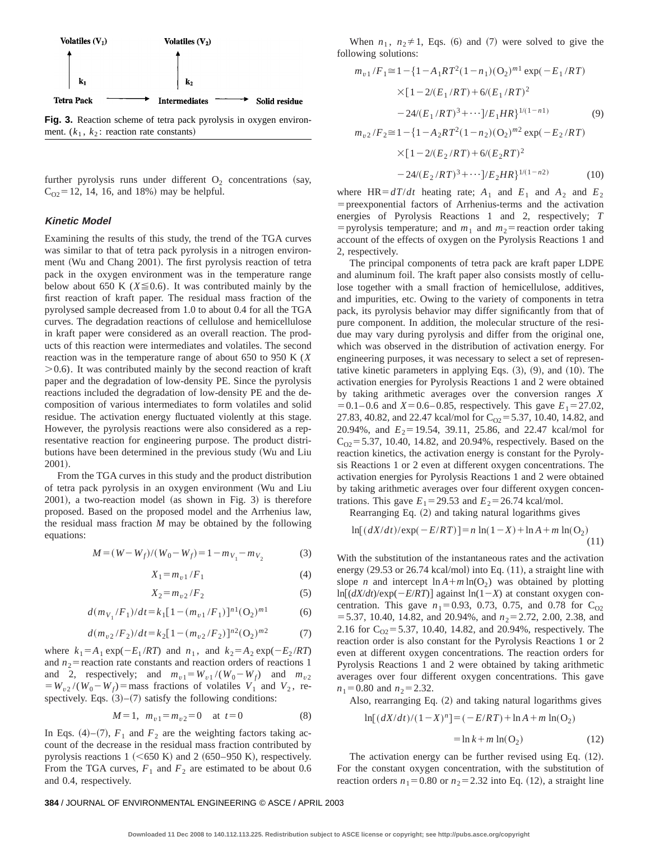

**Fig. 3.** Reaction scheme of tetra pack pyrolysis in oxygen environment.  $(k_1, k_2)$ : reaction rate constants)

further pyrolysis runs under different  $O<sub>2</sub>$  concentrations (say,  $C_{O2}$  = 12, 14, 16, and 18%) may be helpful.

#### **Kinetic Model**

Examining the results of this study, the trend of the TGA curves was similar to that of tetra pack pyrolysis in a nitrogen environment (Wu and Chang 2001). The first pyrolysis reaction of tetra pack in the oxygen environment was in the temperature range below about 650 K ( $X \le 0.6$ ). It was contributed mainly by the first reaction of kraft paper. The residual mass fraction of the pyrolysed sample decreased from 1.0 to about 0.4 for all the TGA curves. The degradation reactions of cellulose and hemicellulose in kraft paper were considered as an overall reaction. The products of this reaction were intermediates and volatiles. The second reaction was in the temperature range of about 650 to 950 K (*X*  $>0.6$ ). It was contributed mainly by the second reaction of kraft paper and the degradation of low-density PE. Since the pyrolysis reactions included the degradation of low-density PE and the decomposition of various intermediates to form volatiles and solid residue. The activation energy fluctuated violently at this stage. However, the pyrolysis reactions were also considered as a representative reaction for engineering purpose. The product distributions have been determined in the previous study (Wu and Liu 2001).

From the TGA curves in this study and the product distribution of tetra pack pyrolysis in an oxygen environment (Wu and Liu  $2001$ ), a two-reaction model (as shown in Fig. 3) is therefore proposed. Based on the proposed model and the Arrhenius law, the residual mass fraction *M* may be obtained by the following equations:

$$
M = (W - W_f)/(W_0 - W_f) = 1 - m_{V_1} - m_{V_2}
$$
 (3)

$$
X_1 = m_{v1}/F_1 \tag{4}
$$

$$
X_2 = m_{v2}/F_2 \tag{5}
$$

$$
d(m_{V_1}/F_1)/dt = k_1 [1 - (m_{v1}/F_1)]^{n1} (O_2)^{m1}
$$
 (6)

$$
d(m_{v2}/F_2)/dt = k_2 [1 - (m_{v2}/F_2)]^{n2} (O_2)^{m2}
$$
 (7)

where  $k_1 = A_1 \exp(-E_1 /RT)$  and  $n_1$ , and  $k_2 = A_2 \exp(-E_2 /RT)$ and  $n_2$ = reaction rate constants and reaction orders of reactions 1 and 2, respectively; and  $m_{v1} = W_{v1} / (W_0 - W_f)$  and  $m_{v2}$  $= W_{v2} / (W_0 - W_f)$  = mass fractions of volatiles  $V_1$  and  $V_2$ , respectively. Eqs.  $(3)$ – $(7)$  satisfy the following conditions:

$$
M = 1, \ m_{v1} = m_{v2} = 0 \quad \text{at } t = 0 \tag{8}
$$

In Eqs. (4)–(7),  $F_1$  and  $F_2$  are the weighting factors taking account of the decrease in the residual mass fraction contributed by pyrolysis reactions  $1 ~ (+650 K)$  and  $2 ~ (650–950 K)$ , respectively. From the TGA curves,  $F_1$  and  $F_2$  are estimated to be about 0.6 and 0.4, respectively.

When  $n_1$ ,  $n_2 \neq 1$ , Eqs. (6) and (7) were solved to give the following solutions:

$$
m_{v1}/F_1 \cong 1 - \{1 - A_1RT^2(1 - n_1)(O_2)^{m1} \exp(-E_1/RT)
$$
  
\n
$$
\times [1 - 2/(E_1/RT) + 6/(E_1/RT)^2
$$
  
\n
$$
-24/(E_1/RT)^3 + \cdots]/E_1HR\}^{1/(1-n1)}
$$
(9)  
\n
$$
m_{v2}/F_2 \cong 1 - \{1 - A_2RT^2(1 - n_2)(O_2)^{m2} \exp(-E_2/RT)
$$
  
\n
$$
\times [1 - 2/(E_2/RT) + 6/(E_2RT)^2]
$$

$$
-24\langle (E_2/RT)^3 + \cdots \rangle / E_2 HR \rangle^{1/(1-n^2)}
$$
(10)

where  $HR = dT/dt$  heating rate;  $A_1$  and  $E_1$  and  $A_2$  and  $E_2$  $=$  preexponential factors of Arrhenius-terms and the activation energies of Pyrolysis Reactions 1 and 2, respectively; *T* = pyrolysis temperature; and  $m_1$  and  $m_2$ = reaction order taking account of the effects of oxygen on the Pyrolysis Reactions 1 and 2, respectively.

The principal components of tetra pack are kraft paper LDPE and aluminum foil. The kraft paper also consists mostly of cellulose together with a small fraction of hemicellulose, additives, and impurities, etc. Owing to the variety of components in tetra pack, its pyrolysis behavior may differ significantly from that of pure component. In addition, the molecular structure of the residue may vary during pyrolysis and differ from the original one, which was observed in the distribution of activation energy. For engineering purposes, it was necessary to select a set of representative kinetic parameters in applying Eqs.  $(3)$ ,  $(9)$ , and  $(10)$ . The activation energies for Pyrolysis Reactions 1 and 2 were obtained by taking arithmetic averages over the conversion ranges *X*  $= 0.1 - 0.6$  and  $X = 0.6 - 0.85$ , respectively. This gave  $E_1 = 27.02$ , 27.83, 40.82, and 22.47 kcal/mol for  $C_{O2}$  = 5.37, 10.40, 14.82, and 20.94%, and *E*<sub>2</sub>=19.54, 39.11, 25.86, and 22.47 kcal/mol for  $C_{O2}$ = 5.37, 10.40, 14.82, and 20.94%, respectively. Based on the reaction kinetics, the activation energy is constant for the Pyrolysis Reactions 1 or 2 even at different oxygen concentrations. The activation energies for Pyrolysis Reactions 1 and 2 were obtained by taking arithmetic averages over four different oxygen concentrations. This gave  $E_1 = 29.53$  and  $E_2 = 26.74$  kcal/mol.

Rearranging Eq.  $(2)$  and taking natural logarithms gives

$$
\ln[(dX/dt)/\exp(-E/RT)] = n\ln(1-X) + \ln A + m\ln(O_2)
$$
\n(11)

With the substitution of the instantaneous rates and the activation energy  $(29.53 \text{ or } 26.74 \text{ kcal/mol})$  into Eq.  $(11)$ , a straight line with slope *n* and intercept  $\ln A + m \ln(O_2)$  was obtained by plotting  $\ln[(dX/dt)/\exp(-E/RT)]$  against  $\ln(1-X)$  at constant oxygen concentration. This gave  $n_1 = 0.93$ , 0.73, 0.75, and 0.78 for C<sub>O2</sub>  $=$  5.37, 10.40, 14.82, and 20.94%, and  $n_2$ = 2.72, 2.00, 2.38, and 2.16 for  $C_{O2}$ =5.37, 10.40, 14.82, and 20.94%, respectively. The reaction order is also constant for the Pyrolysis Reactions 1 or 2 even at different oxygen concentrations. The reaction orders for Pyrolysis Reactions 1 and 2 were obtained by taking arithmetic averages over four different oxygen concentrations. This gave  $n_1$ =0.80 and  $n_2$ =2.32.

Also, rearranging Eq.  $(2)$  and taking natural logarithms gives

$$
\ln[(dX/dt)/(1-X)^n] = (-E/RT) + \ln A + m \ln(O_2)
$$

$$
= \ln k + m \ln(O_2)
$$
 (12)

The activation energy can be further revised using Eq.  $(12)$ . For the constant oxygen concentration, with the substitution of reaction orders  $n_1 = 0.80$  or  $n_2 = 2.32$  into Eq. (12), a straight line

#### **384** / JOURNAL OF ENVIRONMENTAL ENGINEERING © ASCE / APRIL 2003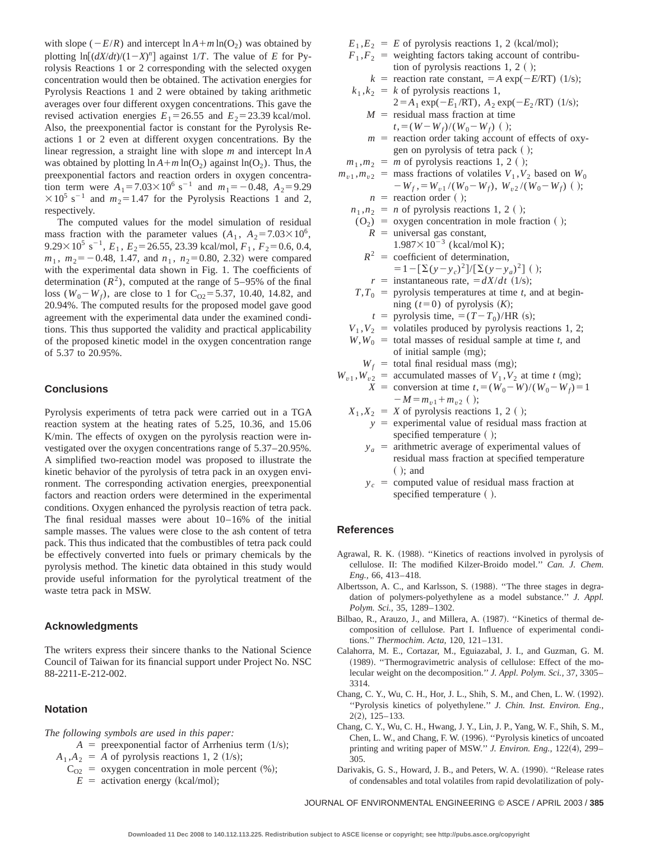with slope ( $-E/R$ ) and intercept  $\ln A + m \ln(O_2)$  was obtained by plotting  $\ln[(dX/dt)/(1-X)^n]$  against  $1/T$ . The value of *E* for Pyrolysis Reactions 1 or 2 corresponding with the selected oxygen concentration would then be obtained. The activation energies for Pyrolysis Reactions 1 and 2 were obtained by taking arithmetic averages over four different oxygen concentrations. This gave the revised activation energies  $E_1 = 26.55$  and  $E_2 = 23.39$  kcal/mol. Also, the preexponential factor is constant for the Pyrolysis Reactions 1 or 2 even at different oxygen concentrations. By the linear regression, a straight line with slope *m* and intercept ln *A* was obtained by plotting  $\ln A + m \ln(O_2)$  against  $\ln(O_2)$ . Thus, the preexponential factors and reaction orders in oxygen concentration term were  $A_1 = 7.03 \times 10^6 \text{ s}^{-1}$  and  $m_1 = -0.48$ ,  $A_2 = 9.29$  $\times$ 10<sup>5</sup> s<sup>-1</sup> and  $m_2$ =1.47 for the Pyrolysis Reactions 1 and 2, respectively.

The computed values for the model simulation of residual mass fraction with the parameter values  $(A_1, A_2 = 7.03 \times 10^6)$ ,  $9.29 \times 10^5$  s<sup>-1</sup>,  $E_1$ ,  $E_2 = 26.55$ , 23.39 kcal/mol,  $F_1$ ,  $F_2 = 0.6$ , 0.4,  $m_1$ ,  $m_2 = -0.48$ , 1.47, and  $n_1$ ,  $n_2 = 0.80$ , 2.32) were compared with the experimental data shown in Fig. 1. The coefficients of determination  $(R^2)$ , computed at the range of 5–95% of the final loss  $(W_0 - W_f)$ , are close to 1 for C<sub>O2</sub>=5.37, 10.40, 14.82, and 20.94%. The computed results for the proposed model gave good agreement with the experimental data under the examined conditions. This thus supported the validity and practical applicability of the proposed kinetic model in the oxygen concentration range of 5.37 to 20.95%.

### **Conclusions**

Pyrolysis experiments of tetra pack were carried out in a TGA reaction system at the heating rates of 5.25, 10.36, and 15.06 K/min. The effects of oxygen on the pyrolysis reaction were investigated over the oxygen concentrations range of 5.37–20.95%. A simplified two-reaction model was proposed to illustrate the kinetic behavior of the pyrolysis of tetra pack in an oxygen environment. The corresponding activation energies, preexponential factors and reaction orders were determined in the experimental conditions. Oxygen enhanced the pyrolysis reaction of tetra pack. The final residual masses were about 10–16% of the initial sample masses. The values were close to the ash content of tetra pack. This thus indicated that the combustibles of tetra pack could be effectively converted into fuels or primary chemicals by the pyrolysis method. The kinetic data obtained in this study would provide useful information for the pyrolytical treatment of the waste tetra pack in MSW.

#### **Acknowledgments**

The writers express their sincere thanks to the National Science Council of Taiwan for its financial support under Project No. NSC 88-2211-E-212-002.

#### **Notation**

*The following symbols are used in this paper:*

- $A =$  preexponential factor of Arrhenius term  $(1/s)$ ;
- $A_1, A_2 = A$  of pyrolysis reactions 1, 2 (1/s);
	- $C_{O2}$  = oxygen concentration in mole percent (%);
	- $E =$  activation energy (kcal/mol);

 $E_1, E_2 = E$  of pyrolysis reactions 1, 2 (kcal/mol);

- $F_1, F_2$  = weighting factors taking account of contribution of pyrolysis reactions  $1, 2$  ( $\cdot$ );
- $k =$  reaction rate constant,  $=A \exp(-E/RT)$  (1/s);  $k_1, k_2 = k$  of pyrolysis reactions 1,

$$
2 = A_1 \exp(-E_1 / RT), A_2 \exp(-E_2 / RT)
$$
 (1/s);

$$
M = \text{residual mass fraction at time}
$$
  

$$
t = (W - W_f)/(W_0 - W_f) \quad (3)
$$

- $m =$  reaction order taking account of effects of oxygen on pyrolysis of tetra pack ();
- $m_1, m_2 = m$  of pyrolysis reactions 1, 2 ();

$$
m_{v1}, m_{v2} = \text{mass fractions of volatiles } V_1, V_2 \text{ based on } W_0
$$
  

$$
-W_f, = W_{v1}/(W_0 - W_f), W_{v2}/(W_0 - W_f) \text{ ( )};
$$

- $n =$  reaction order  $( )$ ;
- $n_1, n_2 = n$  of pyrolysis reactions 1, 2 ();
- $(O<sub>2</sub>)$  = oxygen concentration in mole fraction ();  $R =$  universal gas constant,

$$
1.987 \times 10^{-3}
$$
 (kcal/mol K);

$$
R2 = \text{coefficient of determination},
$$
  
= 1 -  $\left[\sum (y - y_c)^2\right] / \left[\sum (y - y_a)^2\right]$  ( );

- $r =$  instantaneous rate,  $= dX/dt$  (1/s);
- $T, T_0$  = pyrolysis temperatures at time *t*, and at beginning  $(t=0)$  of pyrolysis  $(K)$ ;
	- $t =$  pyrolysis time,  $=(T-T_0)/HR$  (s);
- $V_1, V_2$  = volatiles produced by pyrolysis reactions 1, 2;  $W, W_0$  = total masses of residual sample at time *t*, and of initial sample  $(mg)$ ;
	- $W_f$  = total final residual mass (mg);

$$
W_{v1}
$$
,  $W_{v2}$  = accumulated masses of  $V_1$ ,  $V_2$  at time t (mg);

$$
X = \text{conversion at time } t, = (W_0 - W)/(W_0 - W_f) = 1
$$
  
- $M = m_{v1} + m_{v2}$ ();

- $X_1, X_2 = X$  of pyrolysis reactions 1, 2 ();
	- $y =$  experimental value of residual mass fraction at specified temperature  $( )$ ;
	- $y_a$  = arithmetric average of experimental values of residual mass fraction at specified temperature  $( )$ ; and
	- $y_c$  = computed value of residual mass fraction at specified temperature  $( )$ .

### **References**

- Agrawal, R. K. (1988). "Kinetics of reactions involved in pyrolysis of cellulose. II: The modified Kilzer-Broido model.'' *Can. J. Chem. Eng.,* 66, 413–418.
- Albertsson, A. C., and Karlsson, S. (1988). "The three stages in degradation of polymers-polyethylene as a model substance.'' *J. Appl. Polym. Sci.,* 35, 1289–1302.
- Bilbao, R., Arauzo, J., and Millera, A. (1987). "Kinetics of thermal decomposition of cellulose. Part I. Influence of experimental conditions.'' *Thermochim. Acta,* 120, 121–131.
- Calahorra, M. E., Cortazar, M., Eguiazabal, J. I., and Guzman, G. M. (1989). "Thermogravimetric analysis of cellulose: Effect of the molecular weight on the decomposition.'' *J. Appl. Polym. Sci.,* 37, 3305– 3314.
- Chang, C. Y., Wu, C. H., Hor, J. L., Shih, S. M., and Chen, L. W. (1992). ''Pyrolysis kinetics of polyethylene.'' *J. Chin. Inst. Environ. Eng.,*  $2(2)$ , 125–133.
- Chang, C. Y., Wu, C. H., Hwang, J. Y., Lin, J. P., Yang, W. F., Shih, S. M., Chen, L. W., and Chang, F. W. (1996). "Pyrolysis kinetics of uncoated printing and writing paper of MSW." *J. Environ. Eng.*, 122(4), 299– 305.
- Darivakis, G. S., Howard, J. B., and Peters, W. A. (1990). "Release rates of condensables and total volatiles from rapid devolatilization of poly-

JOURNAL OF ENVIRONMENTAL ENGINEERING © ASCE / APRIL 2003 / **385**